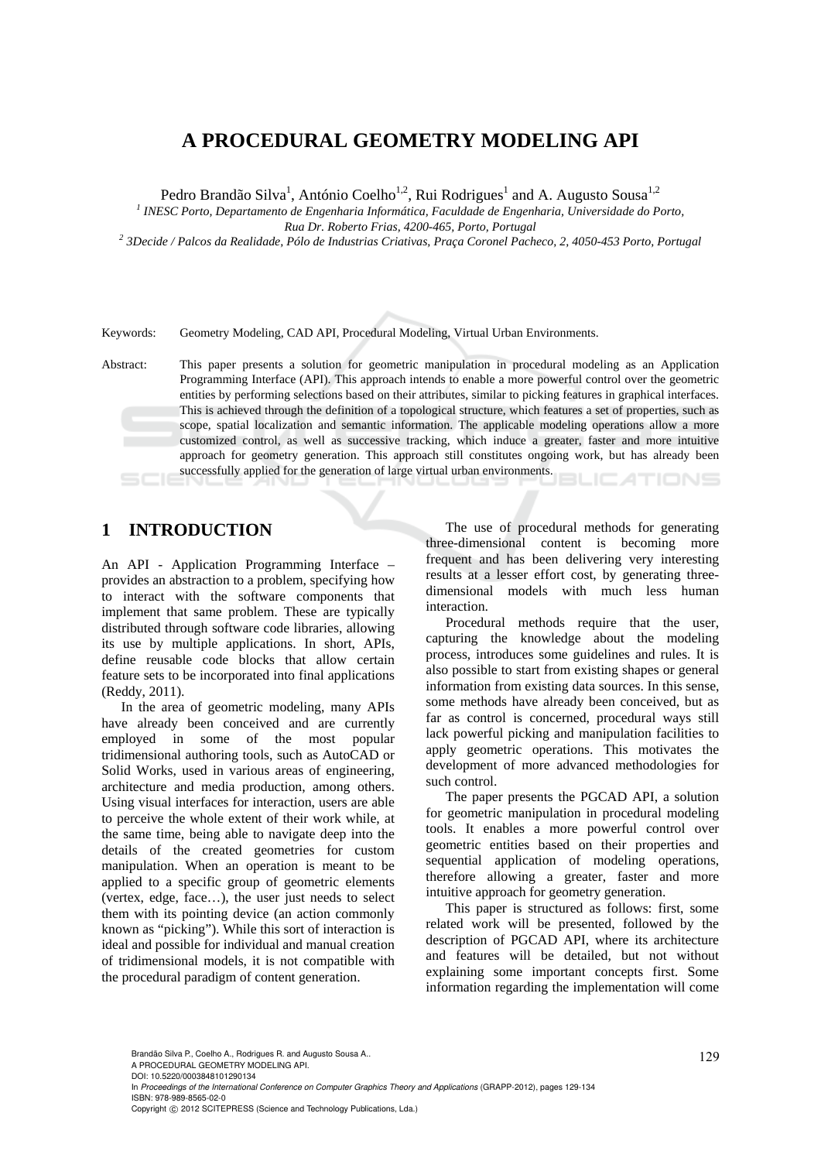# **A PROCEDURAL GEOMETRY MODELING API**

Pedro Brandão Silva<sup>1</sup>, António Coelho<sup>1,2</sup>, Rui Rodrigues<sup>1</sup> and A. Augusto Sousa<sup>1,2</sup>

*1 INESC Porto, Departamento de Engenharia Informática, Faculdade de Engenharia, Universidade do Porto,* 

*Rua Dr. Roberto Frias, 4200-465, Porto, Portugal 2 3Decide / Palcos da Realidade, Pólo de Industrias Criativas, Praça Coronel Pacheco, 2, 4050-453 Porto, Portugal* 

Keywords: Geometry Modeling, CAD API, Procedural Modeling, Virtual Urban Environments.

Abstract: This paper presents a solution for geometric manipulation in procedural modeling as an Application Programming Interface (API). This approach intends to enable a more powerful control over the geometric entities by performing selections based on their attributes, similar to picking features in graphical interfaces. This is achieved through the definition of a topological structure, which features a set of properties, such as scope, spatial localization and semantic information. The applicable modeling operations allow a more customized control, as well as successive tracking, which induce a greater, faster and more intuitive approach for geometry generation. This approach still constitutes ongoing work, but has already been successfully applied for the generation of large virtual urban environments. **ICATIONS** 

## **1 INTRODUCTION**

An API - Application Programming Interface – provides an abstraction to a problem, specifying how to interact with the software components that implement that same problem. These are typically distributed through software code libraries, allowing its use by multiple applications. In short, APIs, define reusable code blocks that allow certain feature sets to be incorporated into final applications (Reddy, 2011).

In the area of geometric modeling, many APIs have already been conceived and are currently employed in some of the most popular tridimensional authoring tools, such as AutoCAD or Solid Works, used in various areas of engineering, architecture and media production, among others. Using visual interfaces for interaction, users are able to perceive the whole extent of their work while, at the same time, being able to navigate deep into the details of the created geometries for custom manipulation. When an operation is meant to be applied to a specific group of geometric elements (vertex, edge, face…), the user just needs to select them with its pointing device (an action commonly known as "picking"). While this sort of interaction is ideal and possible for individual and manual creation of tridimensional models, it is not compatible with the procedural paradigm of content generation.

The use of procedural methods for generating three-dimensional content is becoming more frequent and has been delivering very interesting results at a lesser effort cost, by generating threedimensional models with much less human interaction.

Procedural methods require that the user, capturing the knowledge about the modeling process, introduces some guidelines and rules. It is also possible to start from existing shapes or general information from existing data sources. In this sense, some methods have already been conceived, but as far as control is concerned, procedural ways still lack powerful picking and manipulation facilities to apply geometric operations. This motivates the development of more advanced methodologies for such control.

The paper presents the PGCAD API, a solution for geometric manipulation in procedural modeling tools. It enables a more powerful control over geometric entities based on their properties and sequential application of modeling operations, therefore allowing a greater, faster and more intuitive approach for geometry generation.

This paper is structured as follows: first, some related work will be presented, followed by the description of PGCAD API, where its architecture and features will be detailed, but not without explaining some important concepts first. Some information regarding the implementation will come

Brandão Silva P., Coelho A., Rodrigues R. and Augusto Sousa A.. <br>
129 A PROCEDURAL GEOMETRY MODELING API.

DOI: 10.5220/0003848101290134

In *Proceedings of the International Conference on Computer Graphics Theory and Applications* (GRAPP-2012), pages 129-134 ISBN: 978-989-8565-02-0

Copyright © 2012 SCITEPRESS (Science and Technology Publications, Lda.)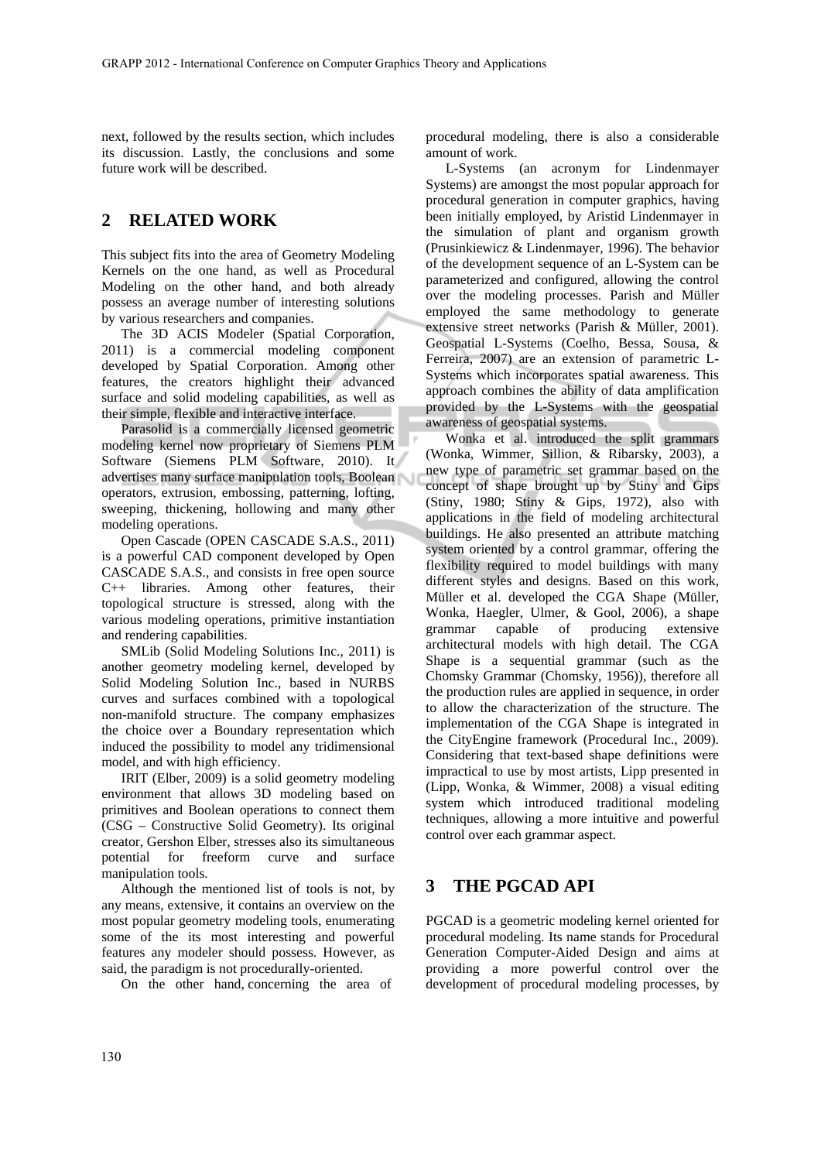next, followed by the results section, which includes its discussion. Lastly, the conclusions and some future work will be described.

## **2 RELATED WORK**

This subject fits into the area of Geometry Modeling Kernels on the one hand, as well as Procedural Modeling on the other hand, and both already possess an average number of interesting solutions by various researchers and companies.

The 3D ACIS Modeler (Spatial Corporation, 2011) is a commercial modeling component developed by Spatial Corporation. Among other features, the creators highlight their advanced surface and solid modeling capabilities, as well as their simple, flexible and interactive interface.

Parasolid is a commercially licensed geometric modeling kernel now proprietary of Siemens PLM Software (Siemens PLM Software, 2010). It advertises many surface manipulation tools, Boolean operators, extrusion, embossing, patterning, lofting, sweeping, thickening, hollowing and many other modeling operations.

Open Cascade (OPEN CASCADE S.A.S., 2011) is a powerful CAD component developed by Open CASCADE S.A.S., and consists in free open source C++ libraries. Among other features, their topological structure is stressed, along with the various modeling operations, primitive instantiation and rendering capabilities.

SMLib (Solid Modeling Solutions Inc., 2011) is another geometry modeling kernel, developed by Solid Modeling Solution Inc., based in NURBS curves and surfaces combined with a topological non-manifold structure. The company emphasizes the choice over a Boundary representation which induced the possibility to model any tridimensional model, and with high efficiency.

IRIT (Elber, 2009) is a solid geometry modeling environment that allows 3D modeling based on primitives and Boolean operations to connect them (CSG – Constructive Solid Geometry). Its original creator, Gershon Elber, stresses also its simultaneous potential for freeform curve and surface manipulation tools.

Although the mentioned list of tools is not, by any means, extensive, it contains an overview on the most popular geometry modeling tools, enumerating some of the its most interesting and powerful features any modeler should possess. However, as said, the paradigm is not procedurally-oriented.

On the other hand, concerning the area of

procedural modeling, there is also a considerable amount of work.

L-Systems (an acronym for Lindenmayer Systems) are amongst the most popular approach for procedural generation in computer graphics, having been initially employed, by Aristid Lindenmayer in the simulation of plant and organism growth (Prusinkiewicz & Lindenmayer, 1996). The behavior of the development sequence of an L-System can be parameterized and configured, allowing the control over the modeling processes. Parish and Müller employed the same methodology to generate extensive street networks (Parish & Müller, 2001). Geospatial L-Systems (Coelho, Bessa, Sousa, & Ferreira, 2007) are an extension of parametric L-Systems which incorporates spatial awareness. This approach combines the ability of data amplification provided by the L-Systems with the geospatial awareness of geospatial systems.

Wonka et al. introduced the split grammars (Wonka, Wimmer, Sillion, & Ribarsky, 2003), a new type of parametric set grammar based on the concept of shape brought up by Stiny and Gips (Stiny, 1980; Stiny & Gips, 1972), also with applications in the field of modeling architectural buildings. He also presented an attribute matching system oriented by a control grammar, offering the flexibility required to model buildings with many different styles and designs. Based on this work, Müller et al. developed the CGA Shape (Müller, Wonka, Haegler, Ulmer, & Gool, 2006), a shape grammar capable of producing extensive architectural models with high detail. The CGA Shape is a sequential grammar (such as the Chomsky Grammar (Chomsky, 1956)), therefore all the production rules are applied in sequence, in order to allow the characterization of the structure. The implementation of the CGA Shape is integrated in the CityEngine framework (Procedural Inc., 2009). Considering that text-based shape definitions were impractical to use by most artists, Lipp presented in (Lipp, Wonka, & Wimmer, 2008) a visual editing system which introduced traditional modeling techniques, allowing a more intuitive and powerful control over each grammar aspect.

## **3 THE PGCAD API**

PGCAD is a geometric modeling kernel oriented for procedural modeling. Its name stands for Procedural Generation Computer-Aided Design and aims at providing a more powerful control over the development of procedural modeling processes, by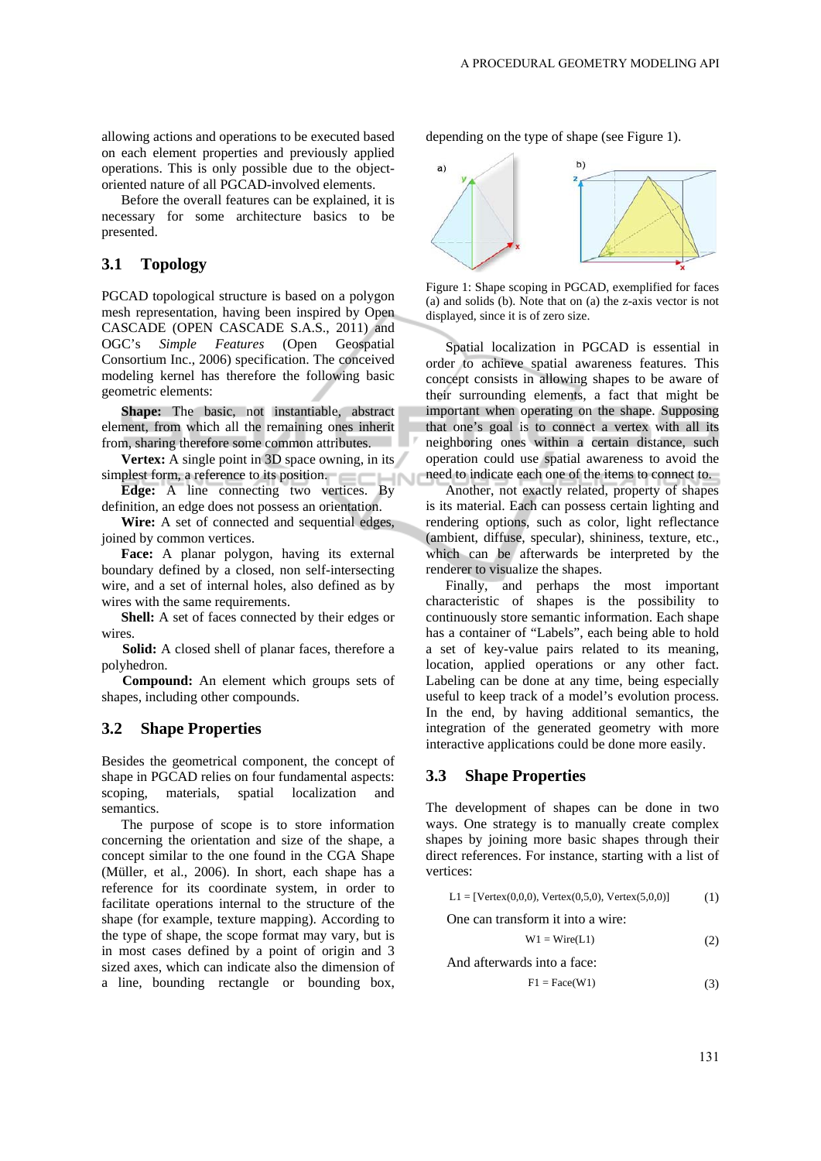allowing actions and operations to be executed based on each element properties and previously applied operations. This is only possible due to the objectoriented nature of all PGCAD-involved elements.

Before the overall features can be explained, it is necessary for some architecture basics to be presented.

### **3.1 Topology**

PGCAD topological structure is based on a polygon mesh representation, having been inspired by Open CASCADE (OPEN CASCADE S.A.S., 2011) and OGC's *Simple Features* (Open Geospatial Consortium Inc., 2006) specification. The conceived modeling kernel has therefore the following basic geometric elements:

**Shape:** The basic, not instantiable, abstract element, from which all the remaining ones inherit from, sharing therefore some common attributes.

**Vertex:** A single point in 3D space owning, in its simplest form, a reference to its position.

**Edge:** A line connecting two vertices. By definition, an edge does not possess an orientation.

**Wire:** A set of connected and sequential edges, joined by common vertices.

Face: A planar polygon, having its external boundary defined by a closed, non self-intersecting wire, and a set of internal holes, also defined as by wires with the same requirements.

**Shell:** A set of faces connected by their edges or wires.

**Solid:** A closed shell of planar faces, therefore a polyhedron.

**Compound:** An element which groups sets of shapes, including other compounds.

#### **3.2 Shape Properties**

Besides the geometrical component, the concept of shape in PGCAD relies on four fundamental aspects: scoping, materials, spatial localization and semantics.

The purpose of scope is to store information concerning the orientation and size of the shape, a concept similar to the one found in the CGA Shape (Müller, et al., 2006). In short, each shape has a reference for its coordinate system, in order to facilitate operations internal to the structure of the shape (for example, texture mapping). According to the type of shape, the scope format may vary, but is in most cases defined by a point of origin and 3 sized axes, which can indicate also the dimension of a line, bounding rectangle or bounding box, depending on the type of shape (see Figure 1).



Figure 1: Shape scoping in PGCAD, exemplified for faces (a) and solids (b). Note that on (a) the z-axis vector is not displayed, since it is of zero size.

Spatial localization in PGCAD is essential in order to achieve spatial awareness features. This concept consists in allowing shapes to be aware of their surrounding elements, a fact that might be important when operating on the shape. Supposing that one's goal is to connect a vertex with all its neighboring ones within a certain distance, such operation could use spatial awareness to avoid the need to indicate each one of the items to connect to.

Another, not exactly related, property of shapes is its material. Each can possess certain lighting and rendering options, such as color, light reflectance (ambient, diffuse, specular), shininess, texture, etc., which can be afterwards be interpreted by the renderer to visualize the shapes.

Finally, and perhaps the most important characteristic of shapes is the possibility to continuously store semantic information. Each shape has a container of "Labels", each being able to hold a set of key-value pairs related to its meaning, location, applied operations or any other fact. Labeling can be done at any time, being especially useful to keep track of a model's evolution process. In the end, by having additional semantics, the integration of the generated geometry with more interactive applications could be done more easily.

#### **3.3 Shape Properties**

The development of shapes can be done in two ways. One strategy is to manually create complex shapes by joining more basic shapes through their direct references. For instance, starting with a list of vertices:

L1 = [Vertex(0,0,0), Vertex(0,5,0), Vertex(5,0,0)] (1)

One can transform it into a wire:

$$
W1 = \text{Wire}(L1) \tag{2}
$$

And afterwards into a face:

$$
F1 = Face(W1)
$$
 (3)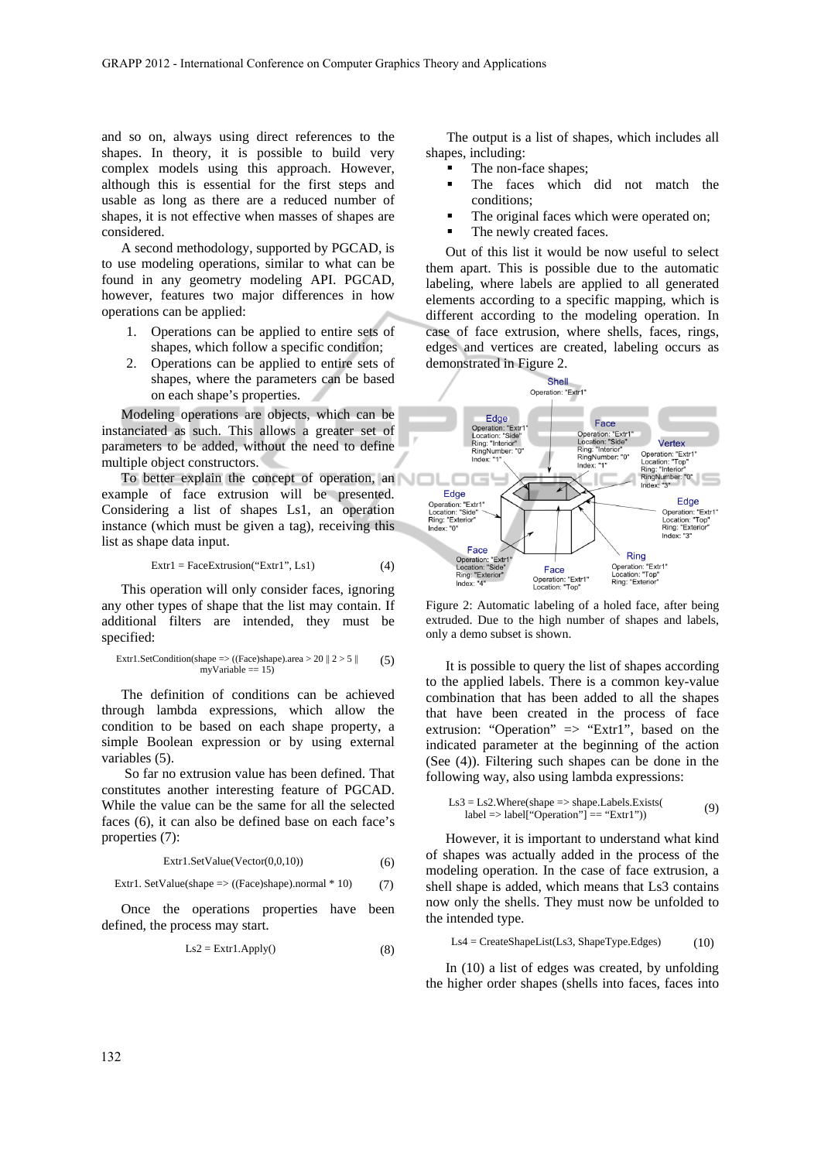and so on, always using direct references to the shapes. In theory, it is possible to build very complex models using this approach. However, although this is essential for the first steps and usable as long as there are a reduced number of shapes, it is not effective when masses of shapes are considered.

A second methodology, supported by PGCAD, is to use modeling operations, similar to what can be found in any geometry modeling API. PGCAD, however, features two major differences in how operations can be applied:

- 1. Operations can be applied to entire sets of shapes, which follow a specific condition;
- 2. Operations can be applied to entire sets of shapes, where the parameters can be based on each shape's properties.

Modeling operations are objects, which can be instanciated as such. This allows a greater set of parameters to be added, without the need to define multiple object constructors.

To better explain the concept of operation, an example of face extrusion will be presented. Considering a list of shapes Ls1, an operation instance (which must be given a tag), receiving this list as shape data input.

$$
Extr1 = FaceExtrusion("Extr1", Ls1)
$$
 (4)

This operation will only consider faces, ignoring any other types of shape that the list may contain. If additional filters are intended, they must be specified:

Extr1.SetCondition(shape 
$$
\Rightarrow
$$
 ((Face)shape).  
\narea  $> 20 \parallel 2 > 5 \parallel$  (5)

\nmyVariable  $== 15$ 

The definition of conditions can be achieved through lambda expressions, which allow the condition to be based on each shape property, a simple Boolean expression or by using external variables (5).

 So far no extrusion value has been defined. That constitutes another interesting feature of PGCAD. While the value can be the same for all the selected faces (6), it can also be defined base on each face's properties (7):

$$
Ext1. SetValue(Vector(0,0,10)) \tag{6}
$$

$$
Ext1. SetValue(shape \implies ((Face) shape).normal * 10) \tag{7}
$$

Once the operations properties have been defined, the process may start.

$$
Ls2 = Extr1.Apply()
$$
 (8)

The output is a list of shapes, which includes all shapes, including:

- The non-face shapes;
- The faces which did not match the conditions;
- The original faces which were operated on;
- The newly created faces.

Out of this list it would be now useful to select them apart. This is possible due to the automatic labeling, where labels are applied to all generated elements according to a specific mapping, which is different according to the modeling operation. In case of face extrusion, where shells, faces, rings, edges and vertices are created, labeling occurs as demonstrated in Figure 2.



Figure 2: Automatic labeling of a holed face, after being extruded. Due to the high number of shapes and labels, only a demo subset is shown.

It is possible to query the list of shapes according to the applied labels. There is a common key-value combination that has been added to all the shapes that have been created in the process of face extrusion: "Operation" => "Extr1", based on the indicated parameter at the beginning of the action (See (4)). Filtering such shapes can be done in the following way, also using lambda expressions:

$$
Ls3 = Ls2. Where(shape => shape.Labels.Exists(\n label => label["Operation"] == "Ext1"))
$$
\n(9)

However, it is important to understand what kind of shapes was actually added in the process of the modeling operation. In the case of face extrusion, a shell shape is added, which means that Ls3 contains now only the shells. They must now be unfolded to the intended type.

$$
Ls4 = CreateShapeList(Ls3, ShapeType.Edges)
$$
 (10)

In (10) a list of edges was created, by unfolding the higher order shapes (shells into faces, faces into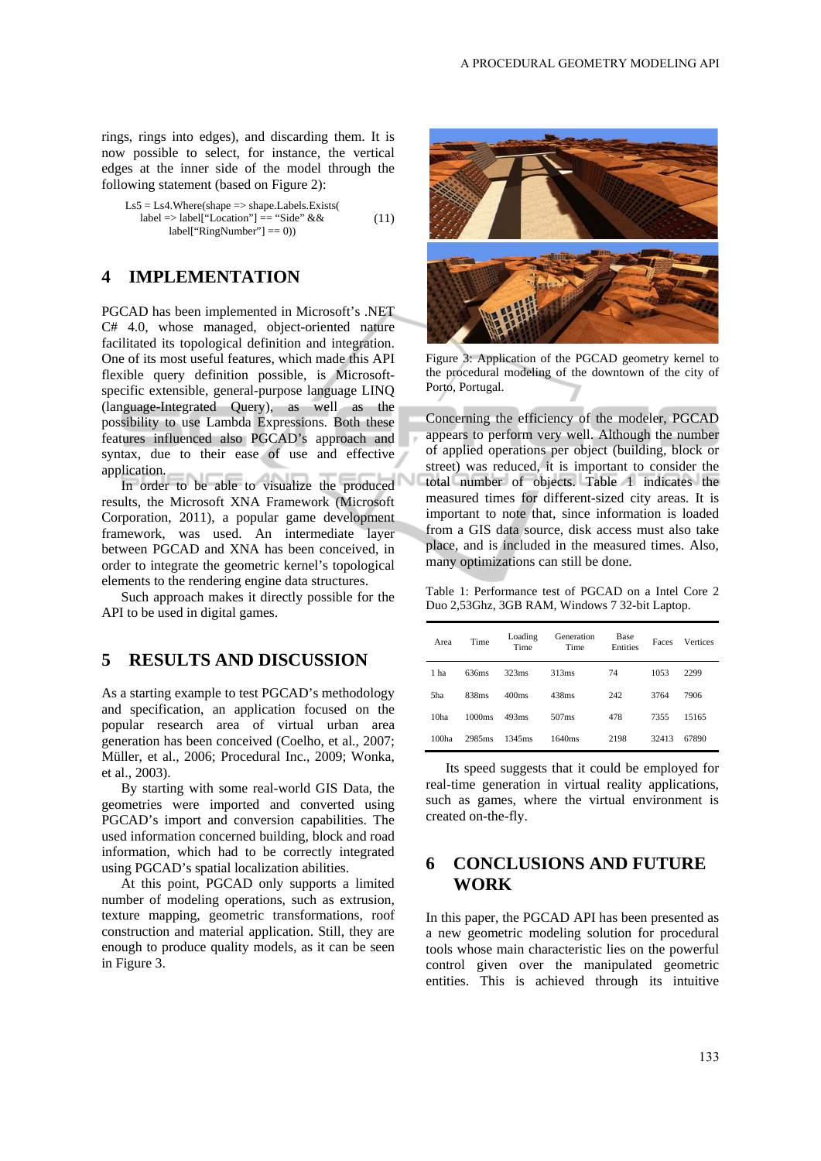rings, rings into edges), and discarding them. It is now possible to select, for instance, the vertical edges at the inner side of the model through the following statement (based on Figure 2):

$$
Lsf = Lsf. Where(shape \implies shape.Labels.Exists(\n label \implies label["Location"] == "Side" && (11)\n label["RingNumber"] == 0))
$$

### **4 IMPLEMENTATION**

PGCAD has been implemented in Microsoft's .NET C# 4.0, whose managed, object-oriented nature facilitated its topological definition and integration. One of its most useful features, which made this API flexible query definition possible, is Microsoftspecific extensible, general-purpose language LINQ (language-Integrated Query), as well as the possibility to use Lambda Expressions. Both these features influenced also PGCAD's approach and syntax, due to their ease of use and effective application.

In order to be able to visualize the produced results, the Microsoft XNA Framework (Microsoft Corporation, 2011), a popular game development framework, was used. An intermediate layer between PGCAD and XNA has been conceived, in order to integrate the geometric kernel's topological elements to the rendering engine data structures.

Such approach makes it directly possible for the API to be used in digital games.

### **5 RESULTS AND DISCUSSION**

As a starting example to test PGCAD's methodology and specification, an application focused on the popular research area of virtual urban area generation has been conceived (Coelho, et al., 2007; Müller, et al., 2006; Procedural Inc., 2009; Wonka, et al., 2003).

By starting with some real-world GIS Data, the geometries were imported and converted using PGCAD's import and conversion capabilities. The used information concerned building, block and road information, which had to be correctly integrated using PGCAD's spatial localization abilities.

At this point, PGCAD only supports a limited number of modeling operations, such as extrusion, texture mapping, geometric transformations, roof construction and material application. Still, they are enough to produce quality models, as it can be seen in Figure 3.



Figure 3: Application of the PGCAD geometry kernel to the procedural modeling of the downtown of the city of Porto, Portugal.

Concerning the efficiency of the modeler, PGCAD appears to perform very well. Although the number of applied operations per object (building, block or street) was reduced, it is important to consider the total number of objects. Table 1 indicates the measured times for different-sized city areas. It is important to note that, since information is loaded from a GIS data source, disk access must also take place, and is included in the measured times. Also, many optimizations can still be done.

Table 1: Performance test of PGCAD on a Intel Core 2 Duo 2,53Ghz, 3GB RAM, Windows 7 32-bit Laptop.

| Area             | Time               | Loading<br>Time | Generation<br>Time | Base<br>Entities | Faces | Vertices |
|------------------|--------------------|-----------------|--------------------|------------------|-------|----------|
| 1 ha             | 636ms              | 323ms           | 313ms              | 74               | 1053  | 2299     |
| 5ha              | 838ms              | 400ms           | 438ms              | 242              | 3764  | 7906     |
| 10 <sub>ha</sub> | 1000ms             | 493ms           | 507 <sub>ms</sub>  | 478              | 7355  | 15165    |
| 100ha            | 2985 <sub>ms</sub> | 1345ms          | 1640ms             | 2198             | 32413 | 67890    |

Its speed suggests that it could be employed for real-time generation in virtual reality applications, such as games, where the virtual environment is created on-the-fly.

## **6 CONCLUSIONS AND FUTURE WORK**

In this paper, the PGCAD API has been presented as a new geometric modeling solution for procedural tools whose main characteristic lies on the powerful control given over the manipulated geometric entities. This is achieved through its intuitive